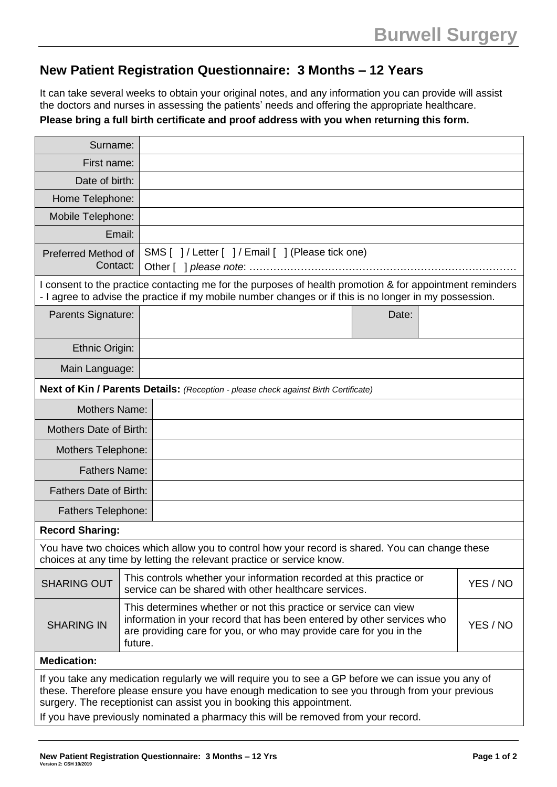## **New Patient Registration Questionnaire: 3 Months – 12 Years**

It can take several weeks to obtain your original notes, and any information you can provide will assist the doctors and nurses in assessing the patients' needs and offering the appropriate healthcare.

**Please bring a full birth certificate and proof address with you when returning this form.**

| Surname:                                                                                                                                                                                                                                                                        |                                                                                                                                          |                                                                                                                                                                                                                              |  |  |  |
|---------------------------------------------------------------------------------------------------------------------------------------------------------------------------------------------------------------------------------------------------------------------------------|------------------------------------------------------------------------------------------------------------------------------------------|------------------------------------------------------------------------------------------------------------------------------------------------------------------------------------------------------------------------------|--|--|--|
| First name:                                                                                                                                                                                                                                                                     |                                                                                                                                          |                                                                                                                                                                                                                              |  |  |  |
| Date of birth:                                                                                                                                                                                                                                                                  |                                                                                                                                          |                                                                                                                                                                                                                              |  |  |  |
| Home Telephone:                                                                                                                                                                                                                                                                 |                                                                                                                                          |                                                                                                                                                                                                                              |  |  |  |
| Mobile Telephone:                                                                                                                                                                                                                                                               |                                                                                                                                          |                                                                                                                                                                                                                              |  |  |  |
|                                                                                                                                                                                                                                                                                 | Email:                                                                                                                                   |                                                                                                                                                                                                                              |  |  |  |
| Preferred Method of<br>Contact:                                                                                                                                                                                                                                                 | SMS []/Letter []/ Email [] (Please tick one)                                                                                             |                                                                                                                                                                                                                              |  |  |  |
| I consent to the practice contacting me for the purposes of health promotion & for appointment reminders<br>- I agree to advise the practice if my mobile number changes or if this is no longer in my possession.                                                              |                                                                                                                                          |                                                                                                                                                                                                                              |  |  |  |
| Parents Signature:                                                                                                                                                                                                                                                              |                                                                                                                                          | Date:                                                                                                                                                                                                                        |  |  |  |
| Ethnic Origin:                                                                                                                                                                                                                                                                  |                                                                                                                                          |                                                                                                                                                                                                                              |  |  |  |
| Main Language:                                                                                                                                                                                                                                                                  |                                                                                                                                          |                                                                                                                                                                                                                              |  |  |  |
| Next of Kin / Parents Details: (Reception - please check against Birth Certificate)                                                                                                                                                                                             |                                                                                                                                          |                                                                                                                                                                                                                              |  |  |  |
| <b>Mothers Name:</b>                                                                                                                                                                                                                                                            |                                                                                                                                          |                                                                                                                                                                                                                              |  |  |  |
| <b>Mothers Date of Birth:</b>                                                                                                                                                                                                                                                   |                                                                                                                                          |                                                                                                                                                                                                                              |  |  |  |
| Mothers Telephone:                                                                                                                                                                                                                                                              |                                                                                                                                          |                                                                                                                                                                                                                              |  |  |  |
| <b>Fathers Name:</b>                                                                                                                                                                                                                                                            |                                                                                                                                          |                                                                                                                                                                                                                              |  |  |  |
| <b>Fathers Date of Birth:</b>                                                                                                                                                                                                                                                   |                                                                                                                                          |                                                                                                                                                                                                                              |  |  |  |
| <b>Fathers Telephone:</b>                                                                                                                                                                                                                                                       |                                                                                                                                          |                                                                                                                                                                                                                              |  |  |  |
| <b>Record Sharing:</b>                                                                                                                                                                                                                                                          |                                                                                                                                          |                                                                                                                                                                                                                              |  |  |  |
| You have two choices which allow you to control how your record is shared. You can change these<br>choices at any time by letting the relevant practice or service know.                                                                                                        |                                                                                                                                          |                                                                                                                                                                                                                              |  |  |  |
| <b>SHARING OUT</b>                                                                                                                                                                                                                                                              | This controls whether your information recorded at this practice or<br>YES / NO<br>service can be shared with other healthcare services. |                                                                                                                                                                                                                              |  |  |  |
| <b>SHARING IN</b>                                                                                                                                                                                                                                                               | future.                                                                                                                                  | This determines whether or not this practice or service can view<br>information in your record that has been entered by other services who<br>YES / NO<br>are providing care for you, or who may provide care for you in the |  |  |  |
| <b>Medication:</b>                                                                                                                                                                                                                                                              |                                                                                                                                          |                                                                                                                                                                                                                              |  |  |  |
| If you take any medication regularly we will require you to see a GP before we can issue you any of<br>these. Therefore please ensure you have enough medication to see you through from your previous<br>surgery. The receptionist can assist you in booking this appointment. |                                                                                                                                          |                                                                                                                                                                                                                              |  |  |  |
| If you have previously nominated a pharmacy this will be removed from your record.                                                                                                                                                                                              |                                                                                                                                          |                                                                                                                                                                                                                              |  |  |  |